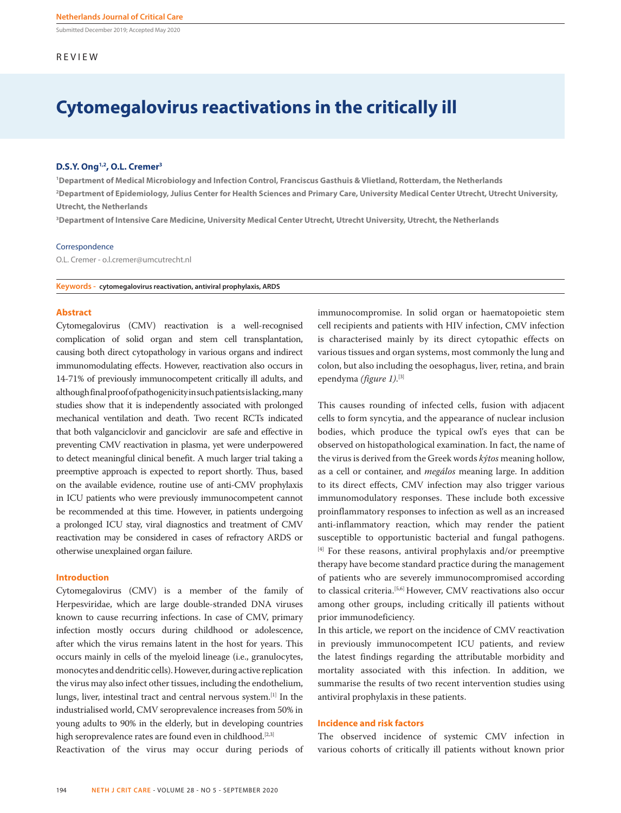Submitted December 2019; Accepted May 2020

## REVIEW

# **Cytomegalovirus reactivations in the critically ill**

## **D.S.Y. Ong1,2, O.L. Cremer3**

**1 Department of Medical Microbiology and Infection Control, Franciscus Gasthuis & Vlietland, Rotterdam, the Netherlands 2 Department of Epidemiology, Julius Center for Health Sciences and Primary Care, University Medical Center Utrecht, Utrecht University, Utrecht, the Netherlands**

**3 Department of Intensive Care Medicine, University Medical Center Utrecht, Utrecht University, Utrecht, the Netherlands**

#### Correspondence

O.L. Cremer - o.l.cremer@umcutrecht.nl

**Keywords - cytomegalovirus reactivation, antiviral prophylaxis, ARDS**

## **Abstract**

Cytomegalovirus (CMV) reactivation is a well-recognised complication of solid organ and stem cell transplantation, causing both direct cytopathology in various organs and indirect immunomodulating effects. However, reactivation also occurs in 14-71% of previously immunocompetent critically ill adults, and although final proof of pathogenicity in such patients is lacking, many studies show that it is independently associated with prolonged mechanical ventilation and death. Two recent RCTs indicated that both valganciclovir and ganciclovir are safe and effective in preventing CMV reactivation in plasma, yet were underpowered to detect meaningful clinical benefit. A much larger trial taking a preemptive approach is expected to report shortly. Thus, based on the available evidence, routine use of anti-CMV prophylaxis in ICU patients who were previously immunocompetent cannot be recommended at this time. However, in patients undergoing a prolonged ICU stay, viral diagnostics and treatment of CMV reactivation may be considered in cases of refractory ARDS or otherwise unexplained organ failure.

#### **Introduction**

Cytomegalovirus (CMV) is a member of the family of Herpesviridae, which are large double-stranded DNA viruses known to cause recurring infections. In case of CMV, primary infection mostly occurs during childhood or adolescence, after which the virus remains latent in the host for years. This occurs mainly in cells of the myeloid lineage (i.e., granulocytes, monocytes and dendritic cells). However, during active replication the virus may also infect other tissues, including the endothelium, lungs, liver, intestinal tract and central nervous system.[1] In the industrialised world, CMV seroprevalence increases from 50% in young adults to 90% in the elderly, but in developing countries high seroprevalence rates are found even in childhood.<sup>[2,3]</sup>

Reactivation of the virus may occur during periods of

immunocompromise. In solid organ or haematopoietic stem cell recipients and patients with HIV infection, CMV infection is characterised mainly by its direct cytopathic effects on various tissues and organ systems, most commonly the lung and colon, but also including the oesophagus, liver, retina, and brain ependyma *(figure 1)*. [3]

This causes rounding of infected cells, fusion with adjacent cells to form syncytia, and the appearance of nuclear inclusion bodies, which produce the typical owl's eyes that can be observed on histopathological examination. In fact, the name of the virus is derived from the Greek words *kýtos* meaning hollow, as a cell or container, and *megálos* meaning large. In addition to its direct effects, CMV infection may also trigger various immunomodulatory responses. These include both excessive proinflammatory responses to infection as well as an increased anti-inflammatory reaction, which may render the patient susceptible to opportunistic bacterial and fungal pathogens. [4] For these reasons, antiviral prophylaxis and/or preemptive therapy have become standard practice during the management of patients who are severely immunocompromised according to classical criteria.[5,6] However, CMV reactivations also occur among other groups, including critically ill patients without prior immunodeficiency.

In this article, we report on the incidence of CMV reactivation in previously immunocompetent ICU patients, and review the latest findings regarding the attributable morbidity and mortality associated with this infection. In addition, we summarise the results of two recent intervention studies using antiviral prophylaxis in these patients.

### **Incidence and risk factors**

The observed incidence of systemic CMV infection in various cohorts of critically ill patients without known prior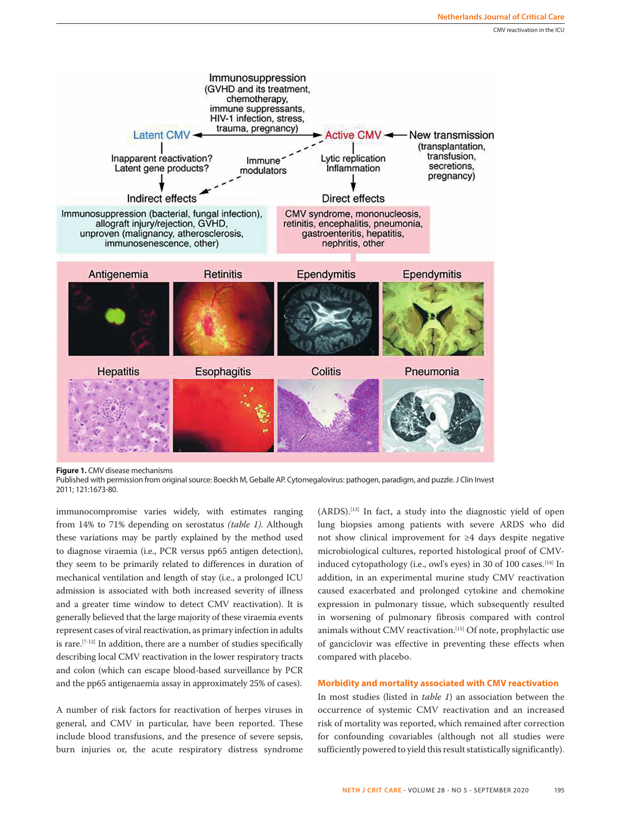

**Figure 1.** CMV disease mechanisms

Published with permission from original source: Boeckh M, Geballe AP. Cytomegalovirus: pathogen, paradigm, and puzzle. J Clin Invest 2011; 121:1673-80.

immunocompromise varies widely, with estimates ranging from 14% to 71% depending on serostatus *(table 1)*. Although these variations may be partly explained by the method used to diagnose viraemia (i.e., PCR versus pp65 antigen detection), they seem to be primarily related to differences in duration of mechanical ventilation and length of stay (i.e., a prolonged ICU admission is associated with both increased severity of illness and a greater time window to detect CMV reactivation). It is generally believed that the large majority of these viraemia events represent cases of viral reactivation, as primary infection in adults is rare.[7-12] In addition, there are a number of studies specifically describing local CMV reactivation in the lower respiratory tracts and colon (which can escape blood-based surveillance by PCR and the pp65 antigenaemia assay in approximately 25% of cases).

A number of risk factors for reactivation of herpes viruses in general, and CMV in particular, have been reported. These include blood transfusions, and the presence of severe sepsis, burn injuries or, the acute respiratory distress syndrome

(ARDS).[13] In fact, a study into the diagnostic yield of open lung biopsies among patients with severe ARDS who did not show clinical improvement for ≥4 days despite negative microbiological cultures, reported histological proof of CMVinduced cytopathology (i.e., owl's eyes) in 30 of 100 cases.<sup>[14]</sup> In addition, in an experimental murine study CMV reactivation caused exacerbated and prolonged cytokine and chemokine expression in pulmonary tissue, which subsequently resulted in worsening of pulmonary fibrosis compared with control animals without CMV reactivation.<sup>[15]</sup> Of note, prophylactic use of ganciclovir was effective in preventing these effects when compared with placebo.

## **Morbidity and mortality associated with CMV reactivation**

In most studies (listed in *table 1*) an association between the occurrence of systemic CMV reactivation and an increased risk of mortality was reported, which remained after correction for confounding covariables (although not all studies were sufficiently powered to yield this result statistically significantly).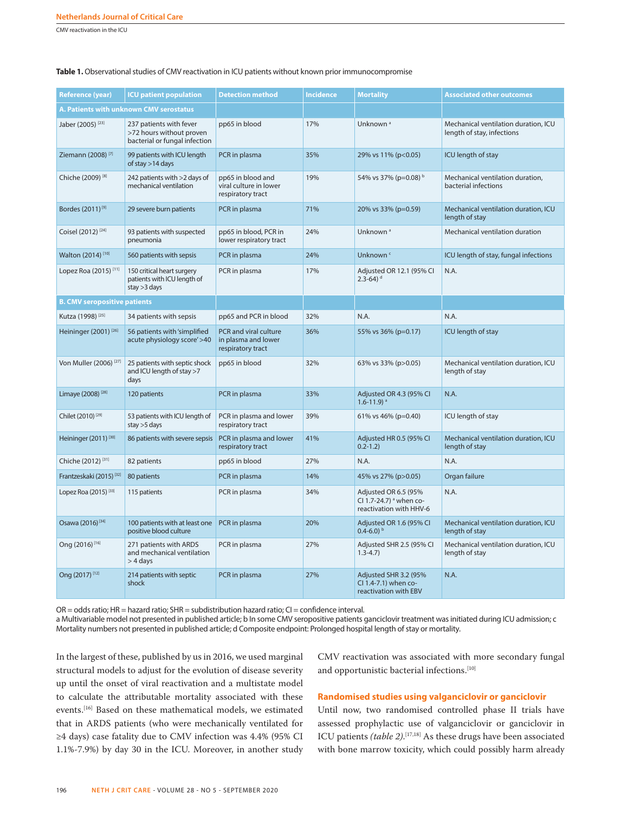CMV reactivation in the ICU

| <b>Reference (year)</b>                 | <b>ICU patient population</b>                                                        | <b>Detection method</b>                                           | <b>Incidence</b> | <b>Mortality</b>                                                                      | <b>Associated other outcomes</b>                                   |
|-----------------------------------------|--------------------------------------------------------------------------------------|-------------------------------------------------------------------|------------------|---------------------------------------------------------------------------------------|--------------------------------------------------------------------|
| A. Patients with unknown CMV serostatus |                                                                                      |                                                                   |                  |                                                                                       |                                                                    |
| Jaber (2005) <sup>[23]</sup>            | 237 patients with fever<br>>72 hours without proven<br>bacterial or fungal infection | pp65 in blood                                                     | 17%              | Unknown <sup>a</sup>                                                                  | Mechanical ventilation duration, ICU<br>length of stay, infections |
| Ziemann (2008) <sup>[7]</sup>           | 99 patients with ICU length<br>of stay >14 days                                      | PCR in plasma                                                     | 35%              | 29% vs 11% (p<0.05)                                                                   | ICU length of stay                                                 |
| Chiche (2009) <sup>[8]</sup>            | 242 patients with >2 days of<br>mechanical ventilation                               | pp65 in blood and<br>viral culture in lower<br>respiratory tract  | 19%              | 54% vs 37% (p=0.08) b                                                                 | Mechanical ventilation duration,<br>bacterial infections           |
| Bordes (2011) <sup>[9]</sup>            | 29 severe burn patients                                                              | PCR in plasma                                                     | 71%              | 20% vs 33% (p=0.59)                                                                   | Mechanical ventilation duration, ICU<br>length of stay             |
| Coisel (2012) <sup>[24]</sup>           | 93 patients with suspected<br>pneumonia                                              | pp65 in blood, PCR in<br>lower respiratory tract                  | 24%              | Unknown <sup>a</sup>                                                                  | Mechanical ventilation duration                                    |
| Walton (2014) <sup>[10]</sup>           | 560 patients with sepsis                                                             | PCR in plasma                                                     | 24%              | Unknown <sup>c</sup>                                                                  | ICU length of stay, fungal infections                              |
| Lopez Roa (2015) <sup>[11]</sup>        | 150 critical heart surgery<br>patients with ICU length of<br>stay $>3$ days          | PCR in plasma                                                     | 17%              | Adjusted OR 12.1 (95% CI<br>$2.3 - 64$ ) d                                            | N.A.                                                               |
| <b>B. CMV seropositive patients</b>     |                                                                                      |                                                                   |                  |                                                                                       |                                                                    |
| Kutza (1998) <sup>[25]</sup>            | 34 patients with sepsis                                                              | pp65 and PCR in blood                                             | 32%              | N.A.                                                                                  | N.A.                                                               |
| Heininger $(2001)^{[26]}$               | 56 patients with 'simplified<br>acute physiology score'>40                           | PCR and viral culture<br>in plasma and lower<br>respiratory tract | 36%              | 55% vs 36% (p=0.17)                                                                   | ICU length of stay                                                 |
| Von Muller (2006) <sup>[27]</sup>       | 25 patients with septic shock<br>and ICU length of stay $>7$<br>days                 | pp65 in blood                                                     | 32%              | 63% vs 33% (p>0.05)                                                                   | Mechanical ventilation duration, ICU<br>length of stay             |
| Limaye (2008) <sup>[28]</sup>           | 120 patients                                                                         | PCR in plasma                                                     | 33%              | Adjusted OR 4.3 (95% CI<br>$1.6 - 11.9$ <sup>a</sup>                                  | N.A.                                                               |
| Chilet (2010) <sup>[29]</sup>           | 53 patients with ICU length of<br>stay >5 days                                       | PCR in plasma and lower<br>respiratory tract                      | 39%              | 61% vs 46% (p=0.40)                                                                   | ICU length of stay                                                 |
| Heininger (2011) <sup>[30]</sup>        | 86 patients with severe sepsis                                                       | PCR in plasma and lower<br>respiratory tract                      | 41%              | Adjusted HR 0.5 (95% CI<br>$0.2 - 1.2$                                                | Mechanical ventilation duration, ICU<br>length of stay             |
| Chiche (2012) <sup>[31]</sup>           | 82 patients                                                                          | pp65 in blood                                                     | 27%              | N.A.                                                                                  | N.A.                                                               |
| Frantzeskaki (2015) <sup>[32]</sup>     | 80 patients                                                                          | PCR in plasma                                                     | 14%              | 45% vs 27% (p>0.05)                                                                   | Organ failure                                                      |
| Lopez Roa (2015) <sup>[33]</sup>        | 115 patients                                                                         | PCR in plasma                                                     | 34%              | Adjusted OR 6.5 (95%<br>CI 1.7-24.7) <sup>a</sup> when co-<br>reactivation with HHV-6 | N.A.                                                               |
| Osawa (2016) <sup>[34]</sup>            | 100 patients with at least one<br>positive blood culture                             | PCR in plasma                                                     | 20%              | Adjusted OR 1.6 (95% CI<br>$0.4 - 6.0$ <sup>b</sup>                                   | Mechanical ventilation duration, ICU<br>length of stay             |
| Ong (2016) <sup>[16]</sup>              | 271 patients with ARDS<br>and mechanical ventilation<br>$>$ 4 days                   | PCR in plasma                                                     | 27%              | Adjusted SHR 2.5 (95% CI<br>$1.3 - 4.7$                                               | Mechanical ventilation duration, ICU<br>length of stay             |
| Ong (2017) [12]                         | 214 patients with septic<br>shock                                                    | PCR in plasma                                                     | 27%              | Adjusted SHR 3.2 (95%<br>Cl 1.4-7.1) when co-<br>reactivation with EBV                | N.A.                                                               |

Table 1. Observational studies of CMV reactivation in ICU patients without known prior immunocompromise

OR = odds ratio; HR = hazard ratio; SHR = subdistribution hazard ratio; CI = confidence interval.

a Multivariable model not presented in published article; b In some CMV seropositive patients ganciclovir treatment was initiated during ICU admission; c Mortality numbers not presented in published article; d Composite endpoint: Prolonged hospital length of stay or mortality.

In the largest of these, published by us in 2016, we used marginal structural models to adjust for the evolution of disease severity up until the onset of viral reactivation and a multistate model to calculate the attributable mortality associated with these events.[16] Based on these mathematical models, we estimated that in ARDS patients (who were mechanically ventilated for ≥4 days) case fatality due to CMV infection was 4.4% (95% CI 1.1%-7.9%) by day 30 in the ICU. Moreover, in another study CMV reactivation was associated with more secondary fungal and opportunistic bacterial infections.<sup>[10]</sup>

# **Randomised studies using valganciclovir or ganciclovir**

Until now, two randomised controlled phase II trials have assessed prophylactic use of valganciclovir or ganciclovir in ICU patients *(table 2)*.<sup>[17,18]</sup> As these drugs have been associated with bone marrow toxicity, which could possibly harm already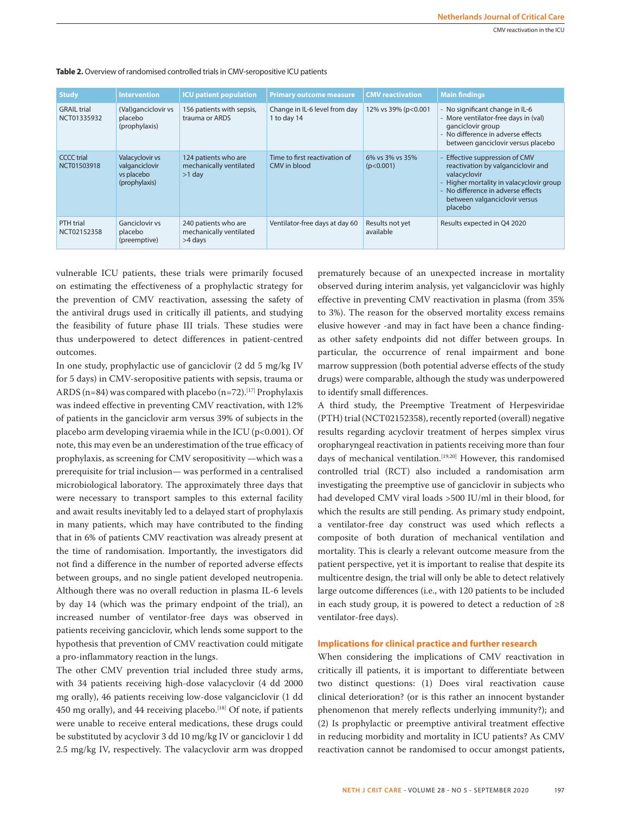| <b>Study</b>                      | <b>Intervention</b>                                              | <b>ICU</b> patient population                               | <b>Primary outcome measure</b>                | <b>CMV</b> reactivation      | <b>Main findings</b>                                                                                                                                                                                               |
|-----------------------------------|------------------------------------------------------------------|-------------------------------------------------------------|-----------------------------------------------|------------------------------|--------------------------------------------------------------------------------------------------------------------------------------------------------------------------------------------------------------------|
| <b>GRAIL trial</b><br>NCT01335932 | (Val)ganciclovir vs<br>placebo<br>(prophylaxis)                  | 156 patients with sepsis,<br>trauma or ARDS                 | Change in IL-6 level from day<br>1 to day 14  | 12% vs 39% (p<0.001          | - No significant change in IL-6<br>- More ventilator-free days in (val)<br>ganciclovir group<br>- No difference in adverse effects<br>between ganciclovir versus placebo                                           |
| <b>CCCC</b> trial<br>NCT01503918  | Valacyclovir vs<br>valganciclovir<br>vs placebo<br>(prophylaxis) | 124 patients who are<br>mechanically ventilated<br>$>1$ day | Time to first reactivation of<br>CMV in blood | 6% vs 3% vs 35%<br>(p<0.001) | - Effective suppression of CMV<br>reactivation by valganciclovir and<br>valacyclovir<br>- Higher mortality in valacyclovir group<br>- No difference in adverse effects<br>between valganciclovir versus<br>placebo |
| PTH trial<br>NCT02152358          | Ganciclovir vs<br>placebo<br>(preemptive)                        | 240 patients who are<br>mechanically ventilated<br>>4 days  | Ventilator-free days at day 60                | Results not yet<br>available | Results expected in Q4 2020                                                                                                                                                                                        |

**Table 2.** Overview of randomised controlled trials in CMV-seropositive ICU patients

vulnerable ICU patients, these trials were primarily focused on estimating the effectiveness of a prophylactic strategy for the prevention of CMV reactivation, assessing the safety of the antiviral drugs used in critically ill patients, and studying the feasibility of future phase III trials. These studies were thus underpowered to detect differences in patient-centred outcomes.

In one study, prophylactic use of ganciclovir (2 dd 5 mg/kg IV for 5 days) in CMV-seropositive patients with sepsis, trauma or ARDS (n=84) was compared with placebo (n=72).<sup>[17]</sup> Prophylaxis was indeed effective in preventing CMV reactivation, with 12% of patients in the ganciclovir arm versus 39% of subjects in the placebo arm developing viraemia while in the ICU (p<0.001). Of note, this may even be an underestimation of the true efficacy of prophylaxis, as screening for CMV seropositivity —which was a prerequisite for trial inclusion— was performed in a centralised microbiological laboratory. The approximately three days that were necessary to transport samples to this external facility and await results inevitably led to a delayed start of prophylaxis in many patients, which may have contributed to the finding that in 6% of patients CMV reactivation was already present at the time of randomisation. Importantly, the investigators did not find a difference in the number of reported adverse effects between groups, and no single patient developed neutropenia. Although there was no overall reduction in plasma IL-6 levels by day 14 (which was the primary endpoint of the trial), an increased number of ventilator-free days was observed in patients receiving ganciclovir, which lends some support to the hypothesis that prevention of CMV reactivation could mitigate a pro-inflammatory reaction in the lungs.

The other CMV prevention trial included three study arms, with 34 patients receiving high-dose valacyclovir (4 dd 2000 mg orally), 46 patients receiving low-dose valganciclovir (1 dd 450 mg orally), and 44 receiving placebo.<sup>[18]</sup> Of note, if patients were unable to receive enteral medications, these drugs could be substituted by acyclovir 3 dd 10 mg/kg IV or ganciclovir 1 dd 2.5 mg/kg IV, respectively. The valacyclovir arm was dropped

prematurely because of an unexpected increase in mortality observed during interim analysis, yet valganciclovir was highly effective in preventing CMV reactivation in plasma (from 35% to 3%). The reason for the observed mortality excess remains elusive however -and may in fact have been a chance findingas other safety endpoints did not differ between groups. In particular, the occurrence of renal impairment and bone marrow suppression (both potential adverse effects of the study drugs) were comparable, although the study was underpowered to identify small differences.

A third study, the Preemptive Treatment of Herpesviridae (PTH) trial (NCT02152358), recently reported (overall) negative results regarding acyclovir treatment of herpes simplex virus oropharyngeal reactivation in patients receiving more than four days of mechanical ventilation.<sup>[19,20]</sup> However, this randomised controlled trial (RCT) also included a randomisation arm investigating the preemptive use of ganciclovir in subjects who had developed CMV viral loads >500 IU/ml in their blood, for which the results are still pending. As primary study endpoint, a ventilator-free day construct was used which reflects a composite of both duration of mechanical ventilation and mortality. This is clearly a relevant outcome measure from the patient perspective, yet it is important to realise that despite its multicentre design, the trial will only be able to detect relatively large outcome differences (i.e., with 120 patients to be included in each study group, it is powered to detect a reduction of ≥8 ventilator-free days).

### **Implications for clinical practice and further research**

When considering the implications of CMV reactivation in critically ill patients, it is important to differentiate between two distinct questions: (1) Does viral reactivation cause clinical deterioration? (or is this rather an innocent bystander phenomenon that merely reflects underlying immunity?); and (2) Is prophylactic or preemptive antiviral treatment effective in reducing morbidity and mortality in ICU patients? As CMV reactivation cannot be randomised to occur amongst patients,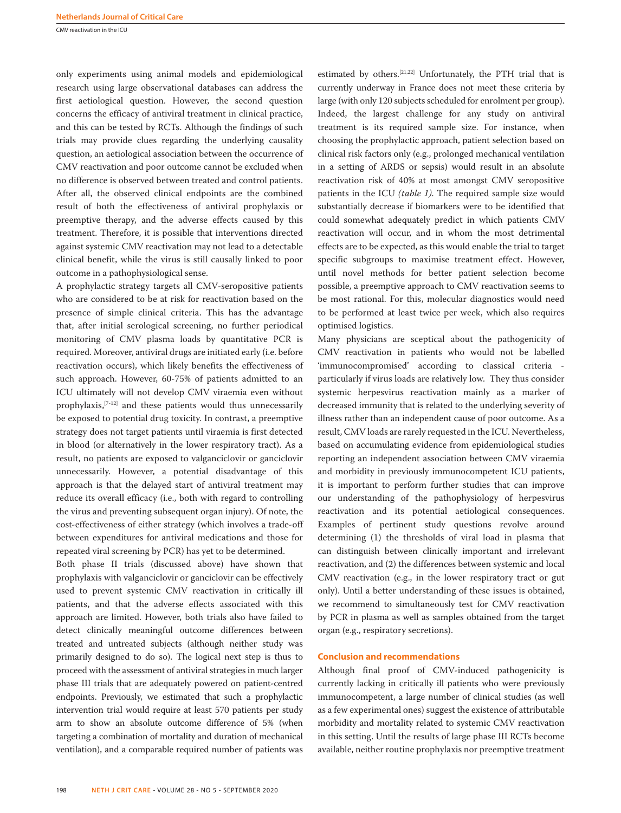CMV reactivation in the ICU

only experiments using animal models and epidemiological research using large observational databases can address the first aetiological question. However, the second question concerns the efficacy of antiviral treatment in clinical practice, and this can be tested by RCTs. Although the findings of such trials may provide clues regarding the underlying causality question, an aetiological association between the occurrence of CMV reactivation and poor outcome cannot be excluded when no difference is observed between treated and control patients. After all, the observed clinical endpoints are the combined result of both the effectiveness of antiviral prophylaxis or preemptive therapy, and the adverse effects caused by this treatment. Therefore, it is possible that interventions directed against systemic CMV reactivation may not lead to a detectable clinical benefit, while the virus is still causally linked to poor outcome in a pathophysiological sense.

A prophylactic strategy targets all CMV-seropositive patients who are considered to be at risk for reactivation based on the presence of simple clinical criteria. This has the advantage that, after initial serological screening, no further periodical monitoring of CMV plasma loads by quantitative PCR is required. Moreover, antiviral drugs are initiated early (i.e. before reactivation occurs), which likely benefits the effectiveness of such approach. However, 60-75% of patients admitted to an ICU ultimately will not develop CMV viraemia even without prophylaxis,[7-12] and these patients would thus unnecessarily be exposed to potential drug toxicity. In contrast, a preemptive strategy does not target patients until viraemia is first detected in blood (or alternatively in the lower respiratory tract). As a result, no patients are exposed to valganciclovir or ganciclovir unnecessarily. However, a potential disadvantage of this approach is that the delayed start of antiviral treatment may reduce its overall efficacy (i.e., both with regard to controlling the virus and preventing subsequent organ injury). Of note, the cost-effectiveness of either strategy (which involves a trade-off between expenditures for antiviral medications and those for repeated viral screening by PCR) has yet to be determined.

Both phase II trials (discussed above) have shown that prophylaxis with valganciclovir or ganciclovir can be effectively used to prevent systemic CMV reactivation in critically ill patients, and that the adverse effects associated with this approach are limited. However, both trials also have failed to detect clinically meaningful outcome differences between treated and untreated subjects (although neither study was primarily designed to do so). The logical next step is thus to proceed with the assessment of antiviral strategies in much larger phase III trials that are adequately powered on patient-centred endpoints. Previously, we estimated that such a prophylactic intervention trial would require at least 570 patients per study arm to show an absolute outcome difference of 5% (when targeting a combination of mortality and duration of mechanical ventilation), and a comparable required number of patients was

estimated by others.[21,22] Unfortunately, the PTH trial that is currently underway in France does not meet these criteria by large (with only 120 subjects scheduled for enrolment per group). Indeed, the largest challenge for any study on antiviral treatment is its required sample size. For instance, when choosing the prophylactic approach, patient selection based on clinical risk factors only (e.g., prolonged mechanical ventilation in a setting of ARDS or sepsis) would result in an absolute reactivation risk of 40% at most amongst CMV seropositive patients in the ICU *(table 1)*. The required sample size would substantially decrease if biomarkers were to be identified that could somewhat adequately predict in which patients CMV reactivation will occur, and in whom the most detrimental effects are to be expected, as this would enable the trial to target specific subgroups to maximise treatment effect. However, until novel methods for better patient selection become possible, a preemptive approach to CMV reactivation seems to be most rational. For this, molecular diagnostics would need to be performed at least twice per week, which also requires optimised logistics.

Many physicians are sceptical about the pathogenicity of CMV reactivation in patients who would not be labelled 'immunocompromised' according to classical criteria particularly if virus loads are relatively low. They thus consider systemic herpesvirus reactivation mainly as a marker of decreased immunity that is related to the underlying severity of illness rather than an independent cause of poor outcome. As a result, CMV loads are rarely requested in the ICU. Nevertheless, based on accumulating evidence from epidemiological studies reporting an independent association between CMV viraemia and morbidity in previously immunocompetent ICU patients, it is important to perform further studies that can improve our understanding of the pathophysiology of herpesvirus reactivation and its potential aetiological consequences. Examples of pertinent study questions revolve around determining (1) the thresholds of viral load in plasma that can distinguish between clinically important and irrelevant reactivation, and (2) the differences between systemic and local CMV reactivation (e.g., in the lower respiratory tract or gut only). Until a better understanding of these issues is obtained, we recommend to simultaneously test for CMV reactivation by PCR in plasma as well as samples obtained from the target organ (e.g., respiratory secretions).

## **Conclusion and recommendations**

Although final proof of CMV-induced pathogenicity is currently lacking in critically ill patients who were previously immunocompetent, a large number of clinical studies (as well as a few experimental ones) suggest the existence of attributable morbidity and mortality related to systemic CMV reactivation in this setting. Until the results of large phase III RCTs become available, neither routine prophylaxis nor preemptive treatment